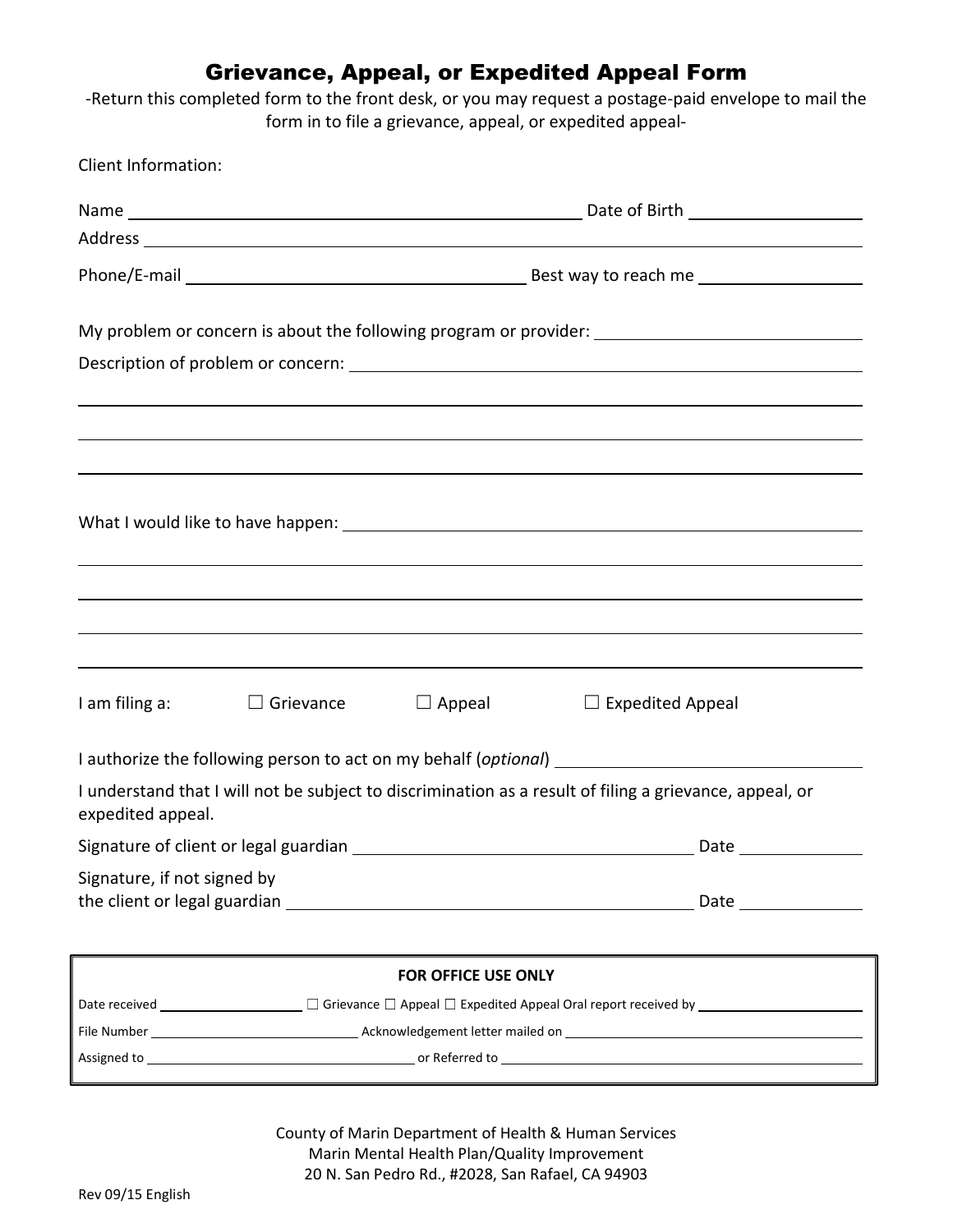## Grievance, Appeal, or Expedited Appeal Form

‐Return this completed form to the front desk, or you may request a postage‐paid envelope to mail the form in to file a grievance, appeal, or expedited appeal‐

| <b>Client Information:</b>                      |                  |                     |                                                                                                         |  |
|-------------------------------------------------|------------------|---------------------|---------------------------------------------------------------------------------------------------------|--|
|                                                 |                  |                     |                                                                                                         |  |
|                                                 |                  |                     |                                                                                                         |  |
|                                                 |                  |                     |                                                                                                         |  |
|                                                 |                  |                     | My problem or concern is about the following program or provider: __________________________________    |  |
|                                                 |                  |                     |                                                                                                         |  |
|                                                 |                  |                     |                                                                                                         |  |
|                                                 |                  |                     |                                                                                                         |  |
|                                                 |                  |                     |                                                                                                         |  |
|                                                 |                  |                     |                                                                                                         |  |
| I am filing a:                                  | $\Box$ Grievance | $\Box$ Appeal       | $\Box$ Expedited Appeal                                                                                 |  |
|                                                 |                  |                     |                                                                                                         |  |
| expedited appeal.                               |                  |                     | I understand that I will not be subject to discrimination as a result of filing a grievance, appeal, or |  |
| Signature of client or legal guardian _<br>Date |                  |                     |                                                                                                         |  |
| Signature, if not signed by                     |                  |                     |                                                                                                         |  |
|                                                 |                  | FOR OFFICE USE ONLY |                                                                                                         |  |
|                                                 |                  |                     |                                                                                                         |  |
|                                                 |                  |                     |                                                                                                         |  |

County of Marin Department of Health & Human Services Marin Mental Health Plan/Quality Improvement 20 N. San Pedro Rd., #2028, San Rafael, CA 94903

Assigned to or Referred to